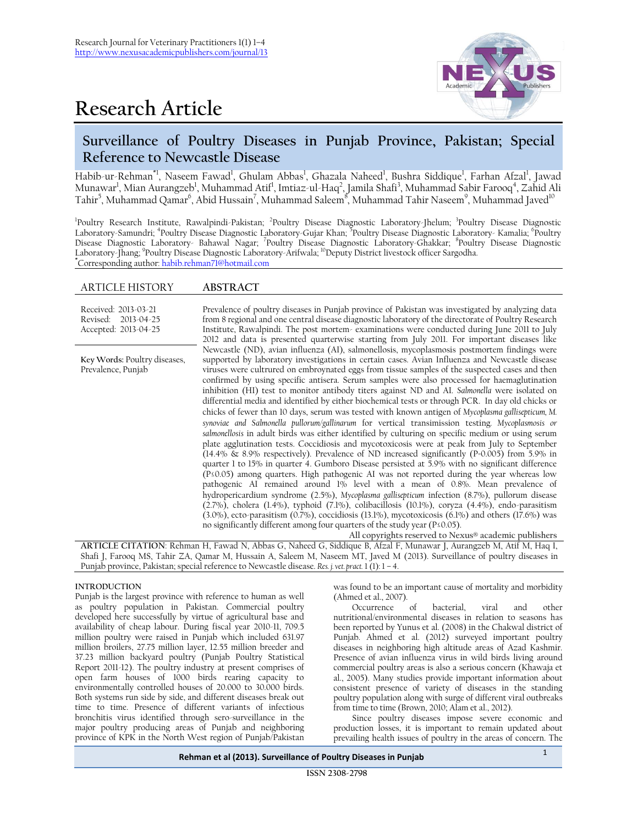# **Research Article**



# **Surveillance of Poultry Diseases in Punjab Province, Pakistan; Special Reference to Newcastle Disease**

Habib-ur-Rehman\*', Naseem Fawad<sup>1</sup>, Ghulam Abbas<sup>1</sup>, Ghazala Naheed<sup>1</sup>, Bushra Siddique<sup>1</sup>, Farhan Afzal<sup>1</sup>, Jawad Munawar<sup>l</sup>, Mian Aurangzeb<sup>1</sup>, Muhammad Atif<sup>1</sup>, Imtiaz-ul-Haq<sup>2</sup>, Jamila Shafi<sup>3</sup>, Muhammad Sabir Farooq<sup>4</sup>, Zahid Ali Tahir<sup>5</sup>, Muhammad Qamar<sup>6</sup>, Abid Hussain<sup>7</sup>, Muhammad Saleem<sup>8</sup>, Muhammad Tahir Naseem<sup>9</sup>, Muhammad Javed<sup>10</sup>

<sup>1</sup>Poultry Research Institute, Rawalpindi-Pakistan; <sup>2</sup>Poultry Disease Diagnostic Laboratory-Jhelum; <sup>3</sup>Poultry Disease Diagnostic Laboratory-Samundri; <sup>4</sup>Poultry Disease Diagnostic Laboratory-Gujar Khan; <sup>5</sup>Poultry Disease Diagnostic Laboratory- Kamalia; <sup>6</sup>Poultry Disease Diagnostic Laboratory- Bahawal Nagar; <sup>7</sup>Poultry Disease Diagnostic Laboratory-Ghakkar; <sup>8</sup>Poultry Disease Diagnostic Laboratory-Jhang; <sup>9</sup> Poultry Disease Diagnostic Laboratory-Arifwala; <sup>10</sup>Deputy District livestock officer Sargodha. **\***Corresponding author[: habib.rehman71@hotmail.com](mailto:habib.rehman71@hotmail.com)

## ARTICLE HISTORY **ABSTRACT**

| Received: 2013-03-21<br>Revised: 2013-04-25<br>Accepted: 2013-04-25 | Prevalence of poultry diseases in Punjab province of Pakistan was investigated by analyzing data<br>from 8 regional and one central disease diagnostic laboratory of the directorate of Poultry Research<br>Institute, Rawalpindi. The post mortem-examinations were conducted during June 2011 to July<br>2012 and data is presented quarterwise starting from July 2011. For important diseases like                                                                                                                                                                                                                                                                                                                                                                                                                                                                                                                                                                                                                                                                                                                                                                                                                                                                                                                                                                                                                                                                                                                                                                                                                                                                                                                                                                                                                           |
|---------------------------------------------------------------------|----------------------------------------------------------------------------------------------------------------------------------------------------------------------------------------------------------------------------------------------------------------------------------------------------------------------------------------------------------------------------------------------------------------------------------------------------------------------------------------------------------------------------------------------------------------------------------------------------------------------------------------------------------------------------------------------------------------------------------------------------------------------------------------------------------------------------------------------------------------------------------------------------------------------------------------------------------------------------------------------------------------------------------------------------------------------------------------------------------------------------------------------------------------------------------------------------------------------------------------------------------------------------------------------------------------------------------------------------------------------------------------------------------------------------------------------------------------------------------------------------------------------------------------------------------------------------------------------------------------------------------------------------------------------------------------------------------------------------------------------------------------------------------------------------------------------------------|
| Key Words: Poultry diseases,<br>Prevalence, Punjab                  | Newcastle (ND), avian influenza (AI), salmonellosis, mycoplasmosis postmortem findings were<br>supported by laboratory investigations in certain cases. Avian Influenza and Newcastle disease<br>viruses were cultrured on embroynated eggs from tissue samples of the suspected cases and then<br>confirmed by using specific antisera. Serum samples were also processed for haemaglutination<br>inhibition (HI) test to monitor antibody titers against ND and AI. Salmonella were isolated on<br>differential media and identified by either biochemical tests or through PCR. In day old chicks or<br>chicks of fewer than 10 days, serum was tested with known antigen of Mycoplasma gallisepticum, M.<br>synoviae and Salmonella pullorum/gallinarum for vertical transimission testing. Mycoplasmosis or<br>salmonellosis in adult birds was either identified by culturing on specific medium or using serum<br>plate agglutination tests. Coccidiosis and mycotoxicosis were at peak from July to September<br>$(14.4\% \& 8.9\%$ respectively). Prevalence of ND increased significantly (P=0.005) from 5.9% in<br>quarter 1 to 15% in quarter 4. Gumboro Disease persisted at 5.9% with no significant difference<br>$(P\leq 0.05)$ among quarters. High pathogenic AI was not reported during the year whereas low<br>pathogenic AI remained around 1% level with a mean of 0.8%. Mean prevalence of<br>hydropericardium syndrome (2.5%), Mycoplasma gallisepticum infection (8.7%), pullorum disease<br>(2.7%), cholera (1.4%), typhoid (7.1%), colibacillosis (10.1%), coryza (4.4%), endo-parasitism<br>$(3.0\%)$ , ecto-parasitism $(0.7\%)$ , coccidiosis $(13.1\%)$ , mycotoxicosis $(6.1\%)$ and others $(17.6\%)$ was<br>no significantly different among four quarters of the study year ( $P \le 0.05$ ). |

**All copyrights reserved to Nexus® academic publishers**

**ARTICLE CITATION**: Rehman H, Fawad N, Abbas G, Naheed G, Siddique B, Afzal F, Munawar J, Aurangzeb M, Atif M, Haq I, Shafi J, Farooq MS, Tahir ZA, Qamar M, Hussain A, Saleem M, Naseem MT, Javed M (2013). Surveillance of poultry diseases in Punjab province, Pakistan; special reference to Newcastle disease. *Res. j. vet. pract.* 1 (1): 1 – 4.

### **INTRODUCTION**

Punjab is the largest province with reference to human as well as poultry population in Pakistan. Commercial poultry developed here successfully by virtue of agricultural base and availability of cheap labour. During fiscal year 2010-11, 709.5 million poultry were raised in Punjab which included 631.97 million broilers, 27.75 million layer, 12.55 million breeder and 37.23 million backyard poultry (Punjab Poultry Statistical Report 2011-12). The poultry industry at present comprises of open farm houses of 1000 birds rearing capacity to environmentally controlled houses of 20.000 to 30.000 birds. Both systems run side by side, and different diseases break out time to time. Presence of different variants of infectious bronchitis virus identified through sero-surveillance in the major poultry producing areas of Punjab and neighboring province of KPK in the North West region of Punjab/Pakistan

was found to be an important cause of mortality and morbidity (Ahmed et al., 2007).

Occurrence of bacterial, viral and other nutritional/environmental diseases in relation to seasons has been reported by Yunus et al. (2008) in the Chakwal district of Punjab. Ahmed et al. (2012) surveyed important poultry diseases in neighboring high altitude areas of Azad Kashmir. Presence of avian influenza virus in wild birds living around commercial poultry areas is also a serious concern (Khawaja et al., 2005). Many studies provide important information about consistent presence of variety of diseases in the standing poultry population along with surge of different viral outbreaks from time to time (Brown, 2010; Alam et al., 2012).

Since poultry diseases impose severe economic and production losses, it is important to remain updated about prevailing health issues of poultry in the areas of concern. The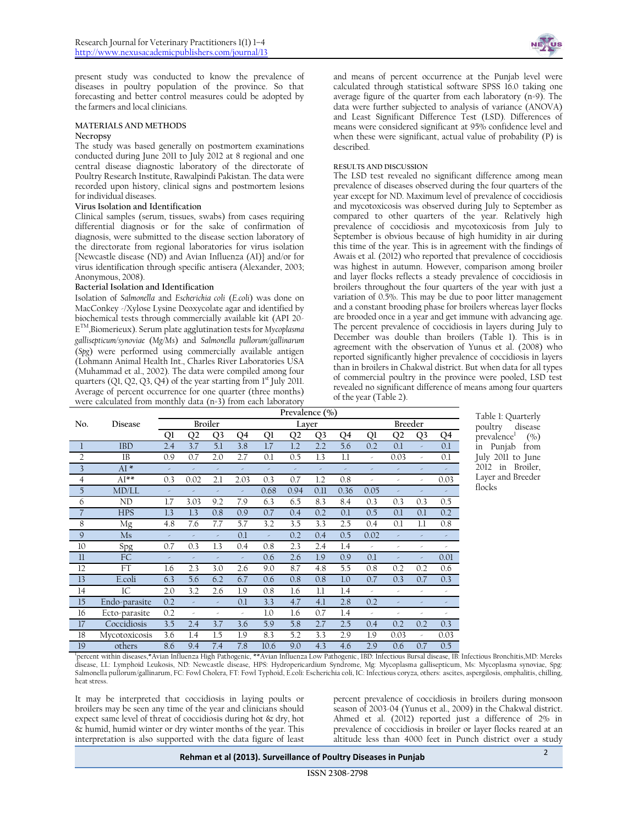present study was conducted to know the prevalence of diseases in poultry population of the province. So that forecasting and better control measures could be adopted by the farmers and local clinicians.

#### **MATERIALS AND METHODS**

#### **Necropsy**

The study was based generally on postmortem examinations conducted during June 2011 to July 2012 at 8 regional and one central disease diagnostic laboratory of the directorate of Poultry Research Institute, Rawalpindi Pakistan. The data were recorded upon history, clinical signs and postmortem lesions for individual diseases.

#### **Virus Isolation and Identification**

Clinical samples (serum, tissues, swabs) from cases requiring differential diagnosis or for the sake of confirmation of diagnosis, were submitted to the disease section laboratory of the directorate from regional laboratories for virus isolation {Newcastle disease (ND) and Avian Influenza (AI)} and/or for virus identification through specific antisera (Alexander, 2003; Anonymous, 2008).

#### **Bacterial Isolation and Identification**

Isolation of *Salmonella* and *Escherichia coli* (*E.coli*) was done on MacConkey -/Xylose Lysine Deoxycolate agar and identified by biochemical tests through commercially available kit (API 20- E TM,Biomerieux). Serum plate agglutination tests for *Mycoplasma gallisepticum/synoviae* (*Mg/Ms*) and *Salmonella pullorum/gallinarum* (*Spg*) were performed using commercially available antigen (Lohmann Animal Health Int., Charles River Laboratories USA (Muhammad et al., 2002). The data were compiled among four quarters  $(Ql, Q2, Q3, Q4)$  of the year starting from  $1<sup>st</sup>$  July 2011. Average of percent occurrence for one quarter (three months) were calculated from monthly data (n=3) from each laboratory



and means of percent occurrence at the Punjab level were calculated through statistical software SPSS 16.0 taking one average figure of the quarter from each laboratory (n=9). The data were further subjected to analysis of variance (ANOVA) and Least Significant Difference Test (LSD). Differences of means were considered significant at 95% confidence level and when these were significant, actual value of probability (P) is described.

#### **RESULTS AND DISCUSSION**

The LSD test revealed no significant difference among mean prevalence of diseases observed during the four quarters of the year except for ND. Maximum level of prevalence of coccidiosis and mycotoxicosis was observed during July to September as compared to other quarters of the year. Relatively high prevalence of coccidiosis and mycotoxicosis from July to September is obvious because of high humidity in air during this time of the year. This is in agreement with the findings of Awais et al. (2012) who reported that prevalence of coccidiosis was highest in autumn. However, comparison among broiler and layer flocks reflects a steady prevalence of coccidiosis in broilers throughout the four quarters of the year with just a variation of 0.5%. This may be due to poor litter management and a constant brooding phase for broilers whereas layer flocks are brooded once in a year and get immune with advancing age. The percent prevalence of coccidiosis in layers during July to December was double than broilers (Table 1). This is in agreement with the observation of Yunus et al. (2008) who reported significantly higher prevalence of coccidiosis in layers than in broilers in Chakwal district. But when data for all types of commercial poultry in the province were pooled, LSD test revealed no significant difference of means among four quarters of the year (Table 2).

|                |               | Prevalence $(\% )$ |                |                |      |      |                |                |         |      |                |                |      |
|----------------|---------------|--------------------|----------------|----------------|------|------|----------------|----------------|---------|------|----------------|----------------|------|
| No.            | Disease       | <b>Broiler</b>     |                |                |      |      | Layer          |                | Breeder |      |                |                |      |
|                |               |                    | Q <sub>2</sub> | Q <sub>3</sub> | Q4   | Ql   | Q <sub>2</sub> | Q <sub>3</sub> | Q4      | Ql   | Q <sub>2</sub> | Q <sub>3</sub> | Q4   |
| 1              | <b>IBD</b>    | 2.4                | 3.7            | 5.1            | 3.8  | 1.7  | 1.2            | 2.2            | 5.6     | 0.2  | 0.1            | ×              | 0.1  |
| $\overline{2}$ | <b>IB</b>     | 0.9                | 0.7            | 2.0            | 2.7  | 0.1  | 0.5            | 1.3            | 1.1     | ×    | 0.03           | ×              | 0.1  |
| 3              | $AI*$         | ×                  |                | ×              | ×    | ×    | ×              |                | ×       | ×    | ×              | ×              | ×    |
| 4              | $AI^{**}$     | 0.3                | 0.02           | 2.1            | 2.03 | 0.3  | 0.7            | 1.2            | 0.8     | ×    | ×              | ×              | 0.03 |
| 5              | MD/LL         | ×                  |                | ×              | ×    | 0.68 | 0.94           | 0.11           | 0.36    | 0.05 | ×              | è              | ×    |
| 6              | ND            | 1.7                | 3.03           | 9.2            | 7.9  | 6.3  | 6.5            | 8.3            | 8.4     | 0.3  | 0.3            | 0.3            | 0.5  |
| $\overline{7}$ | <b>HPS</b>    | 1.3                | 1.3            | 0.8            | 0.9  | 0.7  | 0.4            | 0.2            | 0.1     | 0.5  | 0.1            | 0.1            | 0.2  |
| 8              | Mg            | 4.8                | 7.6            | 7.7            | 5.7  | 3.2  | 3.5            | 3.3            | 2.5     | 0.4  | 0.1            | 1.1            | 0.8  |
| 9              | Ms            | ×                  |                | ×              | 0.1  | ÷    | 0.2            | 0.4            | 0.5     | 0.02 |                | ×              | ×    |
| 10             | Spg           | 0.7                | 0.3            | 1.3            | 0.4  | 0.8  | 2.3            | 2.4            | 1.4     | ×    | ×              | ×              | ×    |
| $_{11}$        | FC            | ×                  | ×              | ×              | ×    | 0.6  | 2.6            | 1.9            | 0.9     | 0.1  | ×              | ×              | 0.01 |
| 12             | FT            | 1.6                | 2.3            | 3.0            | 2.6  | 9.0  | 8.7            | 4.8            | 5.5     | 0.8  | 0.2            | 0.2            | 0.6  |
| 13             | E.coli        | 6.3                | 5.6            | 6.2            | 6.7  | 0.6  | 0.8            | 0.8            | 1.0     | 0.7  | 0.3            | 0.7            | 0.3  |
| 14             | IC            | 2.0                | 3.2            | 2.6            | 1.9  | 0.8  | 1.6            | 1.1            | 1.4     | ×    | ×              | ×              | ×    |
| 15             | Endo-parasite | 0.2                |                | ×              | 0.1  | 3.3  | 4.7            | 4.1            | 2.8     | 0.2  |                |                | ×    |
| 16             | Ecto-parasite | 0.2                | ×              | ×              | ×    | 1.0  | 1.6            | 0.7            | 1.4     | ×    | ×              | ×              | ×    |
| 17             | Coccidiosis   | 3.5                | 2.4            | 3.7            | 3.6  | 5.9  | 5.8            | 2.7            | 2.5     | 0.4  | 0.2            | 0.2            | 0.3  |
| 18             | Mycotoxicosis | 3.6                | 1.4            | 1.5            | 1.9  | 8.3  | 5.2            | 3.3            | 2.9     | 1.9  | 0.03           | ×              | 0.03 |
| 19             | others        | 8.6                | 9.4            | 7.4            | 7.8  | 10.6 | 9.0            | 4.3            | 4.6     | 2.9  | 0.6            | 0.7            | 0.5  |

Table 1: Quarterly poultry disease prevalence<sup>1</sup>  $($ %) in Punjab from July 2011 to June 2012 in Broiler, Layer and Breeder flocks

1 percent within diseases,\*Avian Influenza High Pathogenic, \*\*Avian Influenza Low Pathogenic, IBD: Infectious Bursal disease, IB: Infectious Bronchitis,MD: Mereks disease, LL: Lymphoid Leukosis, ND: Newcastle disease, HPS: Hydropericardium Syndrome, Mg: Mycoplasma gallisepticum, Ms: Mycoplasma synoviae, Spg: Salmonella pullorum/gallinarum, FC: Fowl Cholera, FT: Fowl Typhoid, E.coli: Escherichia coli, IC: Infectious coryza, others: ascites, aspergilosis, omphalitis, chilling, heat stress.

It may be interpreted that coccidiosis in laying poults or broilers may be seen any time of the year and clinicians should expect same level of threat of coccidiosis during hot & dry, hot & humid, humid winter or dry winter months of the year. This interpretation is also supported with the data figure of least

percent prevalence of coccidiosis in broilers during monsoon season of 2003-04 (Yunus et al., 2009) in the Chakwal district. Ahmed et al. (2012) reported just a difference of 2% in prevalence of coccidiosis in broiler or layer flocks reared at an altitude less than 4000 feet in Punch district over a study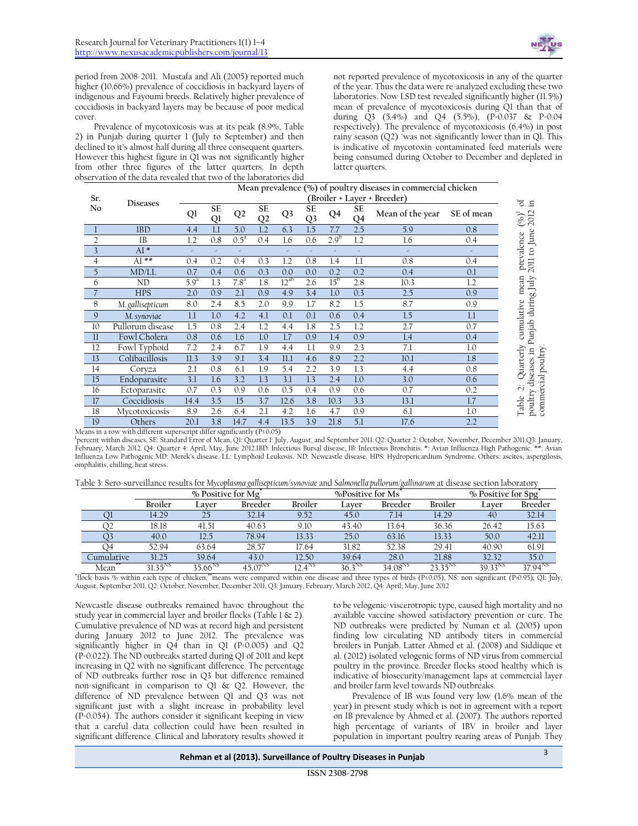

period from 2008-2011. Mustafa and Ali (2005) reported much higher (10.66%) prevalence of coccidiosis in backyard layers of indigenous and Fayoumi breeds. Relatively higher prevalence of coccidiosis in backyard layers may be because of poor medical cover.

Prevalence of mycotoxicosis was at its peak (8.9%, Table 2) in Punjab during quarter 1 (July to September) and then declined to it's almost half during all three consequent quarters. However this highest figure in Q1 was not significantly higher from other three figures of the latter quarters. In depth observation of the data revealed that two of the laboratories did not reported prevalence of mycotoxicosis in any of the quarter of the year. Thus the data were re-analyzed excluding these two laboratories. Now LSD test revealed significantly higher (11.5%) mean of prevalence of mycotoxicosis during Q1 than that of during Q3 (5.4%) and Q4 (5.5%), (P=0.037 & P=0.04 respectively). The prevalence of mycotoxicosis (6.4%) in post rainy season (Q2) `was not significantly lower than in Q1. This is indicative of mycotoxin contaminated feed materials were being consumed during October to December and depleted in latter quarters.

|                                                                                | Mean prevalence $(\%)$ of poultry diseases in commercial chicken<br>(Broiler + Layer + Breeder)<br>Sr.                                                                                                                                                                                                                                                                                                                                                                                              |                         |             |                          |              |                  |                |                        |             |                                                                                                                                                                                              |                              |                                                               |
|--------------------------------------------------------------------------------|-----------------------------------------------------------------------------------------------------------------------------------------------------------------------------------------------------------------------------------------------------------------------------------------------------------------------------------------------------------------------------------------------------------------------------------------------------------------------------------------------------|-------------------------|-------------|--------------------------|--------------|------------------|----------------|------------------------|-------------|----------------------------------------------------------------------------------------------------------------------------------------------------------------------------------------------|------------------------------|---------------------------------------------------------------|
| No                                                                             | <b>Diseases</b>                                                                                                                                                                                                                                                                                                                                                                                                                                                                                     |                         | SE          |                          | SE           |                  | SE             |                        | SE          |                                                                                                                                                                                              | SE of mean                   | ಕ<br>- 도                                                      |
|                                                                                |                                                                                                                                                                                                                                                                                                                                                                                                                                                                                                     | Ql                      | Ql          | Q <sub>2</sub>           | Q2           | Q <sub>3</sub>   | Q <sub>3</sub> | Q4                     | Q4          | Mean of the year                                                                                                                                                                             |                              | 2011 to June 2012<br>$\left(\%\right)^{1}$                    |
| $\mathbf{I}$                                                                   | <b>IBD</b>                                                                                                                                                                                                                                                                                                                                                                                                                                                                                          | 4.4                     | 1.1         | 5.0                      | 1.2          | 6.3              | 1.5            | 7.7                    | 2.5         | 5.9                                                                                                                                                                                          | 0.8                          |                                                               |
| $\overline{2}$                                                                 | IB                                                                                                                                                                                                                                                                                                                                                                                                                                                                                                  | 1.2                     | 0.8         | 0.5 <sup>a</sup>         | 0.4          | 1.6              | 0.6            | $2.9^{b}$              | 1.2         | 1.6                                                                                                                                                                                          | 0.4                          | Quarterly cumulative mean prevalence                          |
| $\overline{3}$                                                                 | $AI*$                                                                                                                                                                                                                                                                                                                                                                                                                                                                                               | $\omega$                |             | $\overline{\phantom{a}}$ |              |                  |                | ×                      |             | $\bar{\phantom{a}}$                                                                                                                                                                          |                              |                                                               |
| $\overline{4}$                                                                 | $AI$ **                                                                                                                                                                                                                                                                                                                                                                                                                                                                                             | 0.4                     | 0.2         | 0.4                      | 0.3          | 1.2              | 0.8            | 1.4                    | 1.1         | 0.8                                                                                                                                                                                          | 0.4                          |                                                               |
| $\mathfrak I$<br>6                                                             | MD/LL<br>ND                                                                                                                                                                                                                                                                                                                                                                                                                                                                                         | 0.7<br>5.9 <sup>a</sup> | 0.4         | 0.6<br>7.8 <sup>a</sup>  | 0.3<br>1.8   | 0.0<br>$12^{ab}$ | 0.0<br>2.6     | 0.2<br>15 <sup>b</sup> | 0.2<br>2.8  | 0.4<br>10.3                                                                                                                                                                                  | 0.1                          |                                                               |
| $\overline{\mathcal{L}}$                                                       | <b>HPS</b>                                                                                                                                                                                                                                                                                                                                                                                                                                                                                          | 2.0                     | 1.3<br>0.9  | 2.1                      | 0.9          |                  |                | 1.0                    | 0.3         | 2.5                                                                                                                                                                                          | 1.2<br>0.9                   |                                                               |
| 8                                                                              |                                                                                                                                                                                                                                                                                                                                                                                                                                                                                                     | 8.0                     | 2.4         | 8.5                      | 2.0          | 4.9<br>9.9       | 3.4<br>1.7     | 8.2                    | 1.5         | 8.7                                                                                                                                                                                          | 0.9                          | poultry diseases in Punjab during July<br>commercial poultry. |
|                                                                                | M. gallisepticum                                                                                                                                                                                                                                                                                                                                                                                                                                                                                    |                         |             | 4.2                      |              |                  |                |                        |             |                                                                                                                                                                                              |                              |                                                               |
| $\mathsf{9}$                                                                   | M. synoviae                                                                                                                                                                                                                                                                                                                                                                                                                                                                                         | 1.1                     | 1.0<br>0.8  | 2.4                      | 4.1<br>1.2   | 0.1              | 0.1<br>1.8     | 0.6<br>2.5             | 0.4<br>1.2  | 1.5                                                                                                                                                                                          | 1.1                          |                                                               |
| 10<br>$\rm ll$                                                                 | Pullorum disease<br>Fowl Cholera                                                                                                                                                                                                                                                                                                                                                                                                                                                                    | 1.5<br>0.8              | 0.6         | 1.6                      | 1.0          | 4.4<br>1.7       | 0.9            | 1.4                    | 0.9         | 2.7<br>1.4                                                                                                                                                                                   | 0.7                          |                                                               |
| 12                                                                             | Fowl Typhoid                                                                                                                                                                                                                                                                                                                                                                                                                                                                                        | 7.2                     | 2.4         | 6.7                      | 1.9          | 4.4              | 1.1            | 9.9                    | 2.3         | 7.1                                                                                                                                                                                          | 0.4<br>1.0                   |                                                               |
| 13                                                                             | Colibacillosis                                                                                                                                                                                                                                                                                                                                                                                                                                                                                      | 11.3                    | 3.9         | 9.1                      | 3.4          | 11.1             | 4.6            | 8.9                    | 2.2         | 10.1                                                                                                                                                                                         | 1.8                          |                                                               |
| 14                                                                             | Coryza                                                                                                                                                                                                                                                                                                                                                                                                                                                                                              | 2.1                     | 0.8         | 6.1                      | 1.9          | 5.4              | 2.2            | 3.9                    | 1.3         | 4.4                                                                                                                                                                                          | 0.8                          |                                                               |
| $15\,$                                                                         | Endoparasite                                                                                                                                                                                                                                                                                                                                                                                                                                                                                        | 3.1                     | 1.6         | 3.2                      | 1.3          | 3.1              | 1.3            | 2.4                    | 1.0         | 3.0                                                                                                                                                                                          | 0.6                          |                                                               |
| 16                                                                             | Ectoparasite                                                                                                                                                                                                                                                                                                                                                                                                                                                                                        | 0.7                     | 0.3         | 0.9                      | 0.6          | 0.5              | 0.4            | 0.9                    | 0.6         | 0.7                                                                                                                                                                                          | 0.2                          | $\dot{\sim}$                                                  |
| 17                                                                             | Coccidiosis                                                                                                                                                                                                                                                                                                                                                                                                                                                                                         | 14.4                    | 3.5         | 15                       | 3.7          | 12.6             | 3.8            | 10.3                   | 3.3         | 13.1                                                                                                                                                                                         | 1.7                          |                                                               |
| 18                                                                             | Mycotoxicosis                                                                                                                                                                                                                                                                                                                                                                                                                                                                                       | 8.9                     | 2.6         | 6.4                      | 2.1          | 4.2              | 1.6            | 4.7                    | 0.9         | 6.1                                                                                                                                                                                          | 1.0                          | Table                                                         |
| 19                                                                             | Others                                                                                                                                                                                                                                                                                                                                                                                                                                                                                              | 20.1                    | 3.8         | 14.7                     | 4.4          | 13.5             | 3.9            | 21.8                   | 5.1         | $17.6$                                                                                                                                                                                       | 2.2                          |                                                               |
| eans in a row with different superscript differ significantly ( $P \le 0.05$ ) | ercent within diseases, SE: Standard Error of Mean, QI: Quarter 1: July, August, and September 2011. Q2: Quarter 2: October, November, December 2011. Q3: January,<br>bruary, March 2012. Q4: Quarter 4: April, May, June 2012.IBD: Infectious Bursal disease, IB: Infectious Bronchitis. *: Avian Influenza High Pathogenic. **: Avian<br>fluenza Low Pathogenic.MD: Merek's disease. LL: Lymphoid Leukosis. ND: Newcastle disease. HPS: Hydropericardium Syndrome. Others: ascites, aspergilosis, |                         |             |                          |              |                  |                |                        |             |                                                                                                                                                                                              |                              |                                                               |
|                                                                                | nphalitis, chilling, heat stress.<br>able 3: Sero-surveillance results for Mycoplasma gallisepticum/synoviae and Salmonella pullorum/gallinarum at disease section laboratory                                                                                                                                                                                                                                                                                                                       |                         |             |                          |              |                  |                |                        |             |                                                                                                                                                                                              |                              |                                                               |
|                                                                                |                                                                                                                                                                                                                                                                                                                                                                                                                                                                                                     |                         |             | $%$ Positive for Mg $*$  |              |                  |                |                        |             | %Positive for Ms                                                                                                                                                                             |                              | % Positive for Spg                                            |
|                                                                                | Broiler                                                                                                                                                                                                                                                                                                                                                                                                                                                                                             |                         | Layer       |                          | Breeder      |                  | Broiler        |                        | Layer       | Breeder                                                                                                                                                                                      | Broiler<br>Layer             | Breeder                                                       |
|                                                                                | 14.29<br>Ql                                                                                                                                                                                                                                                                                                                                                                                                                                                                                         |                         | 25          |                          | 32.14        |                  | 9.52           |                        | 45.0        | 7.14                                                                                                                                                                                         | 14.29<br>40                  | 32.14                                                         |
|                                                                                | Q2<br>18.18                                                                                                                                                                                                                                                                                                                                                                                                                                                                                         |                         | 41.51       |                          | 40.63        |                  | 9.10           |                        | 43.40       | 13.64                                                                                                                                                                                        | 36.36<br>26.42               | 15.63                                                         |
|                                                                                | Q <sub>3</sub><br>40.0                                                                                                                                                                                                                                                                                                                                                                                                                                                                              |                         | 12.5        |                          | 78.94        |                  | 13.33          |                        | 25.0        | 63.16                                                                                                                                                                                        | 13.33<br>50.0                | 42.11                                                         |
|                                                                                | 52.94<br>O4                                                                                                                                                                                                                                                                                                                                                                                                                                                                                         |                         | 63.64       |                          | 28.57        |                  | 17.64          |                        | 31.82       | 52.38                                                                                                                                                                                        | 29.41<br>40.90               | 61.91                                                         |
|                                                                                | Cumulative<br>31.25                                                                                                                                                                                                                                                                                                                                                                                                                                                                                 |                         | 39.64       |                          | 43.0         |                  | 12.50          |                        | 39.64       | 28.0                                                                                                                                                                                         | 21.88<br>32.32               | 35.0                                                          |
| Mean                                                                           | $31.35^{N5}$                                                                                                                                                                                                                                                                                                                                                                                                                                                                                        |                         | $35.66^{N}$ |                          | $45.07^{N5}$ |                  | $12.4^{N5}$    |                        | $36.3^{NS}$ | 34.08 <sup>NS</sup>                                                                                                                                                                          | $23.35^{NS}$<br>$39.33^{NS}$ | $37.94^{N5}$                                                  |
|                                                                                | ock basis % within each type of chicken, "means were compared within one disease and three types of birds (Ps0.05), NS: non significant (Pv0.95), Ql: July,<br>igust, September 2011, Q2: October, November, December 2011, Q3: January, February, March 2012, Q4: April, May, June 2012                                                                                                                                                                                                            |                         |             |                          |              |                  |                |                        |             |                                                                                                                                                                                              |                              |                                                               |
|                                                                                | ewcastle disease outbreaks remained havoc throughout the<br>udy year in commercial layer and broiler flocks (Table 1 & 2).<br>umulative prevalence of ND was at record high and persistent                                                                                                                                                                                                                                                                                                          |                         |             |                          |              |                  |                |                        |             | to be velogenic-viscerotropic type, caused high mortality and no<br>available vaccine showed satisfactory prevention or cure. The<br>ND outbreaks were predicted by Numan et al. (2005) upon |                              |                                                               |
|                                                                                | uring January 2012 to June 2012. The prevalence was<br>gnificantly higher in Q4 than in Q1 (P=0.005) and Q2                                                                                                                                                                                                                                                                                                                                                                                         |                         |             |                          |              |                  |                |                        |             | finding low circulating ND antibody titers in commercial<br>broilers in Punjab. Latter Ahmed et al. (2008) and Siddique et                                                                   |                              |                                                               |
|                                                                                | =0.022). The ND outbreaks started during Q1 of 2011 and kept                                                                                                                                                                                                                                                                                                                                                                                                                                        |                         |             |                          |              |                  |                |                        |             | al. (2012) isolated velogenic forms of ND virus from commercial                                                                                                                              |                              |                                                               |
|                                                                                | creasing in Q2 with no significant difference. The percentage                                                                                                                                                                                                                                                                                                                                                                                                                                       |                         |             |                          |              |                  |                |                        |             | poultry in the province. Breeder flocks stood healthy which is                                                                                                                               |                              |                                                               |
|                                                                                | ND outbreaks further rose in Q3 but difference remained                                                                                                                                                                                                                                                                                                                                                                                                                                             |                         |             |                          |              |                  |                |                        |             | indicative of biosecurity/management laps at commercial layer                                                                                                                                |                              |                                                               |
|                                                                                | on-significant in comparison to Q1 & Q2. However, the                                                                                                                                                                                                                                                                                                                                                                                                                                               |                         |             |                          |              |                  |                |                        |             | and broiler farm level towards ND outbreaks.                                                                                                                                                 |                              |                                                               |
|                                                                                | fference of ND prevalence between Q1 and Q3 was not                                                                                                                                                                                                                                                                                                                                                                                                                                                 |                         |             |                          |              |                  |                |                        |             | Prevalence of IB was found very low (1.6% mean of the                                                                                                                                        |                              |                                                               |
|                                                                                | gnificant just with a slight increase in probability level                                                                                                                                                                                                                                                                                                                                                                                                                                          |                         |             |                          |              |                  |                |                        |             | year) in present study which is not in agreement with a report                                                                                                                               |                              |                                                               |
|                                                                                | -0.054). The authors consider it significant keeping in view<br>at a careful data collection could have been resulted in                                                                                                                                                                                                                                                                                                                                                                            |                         |             |                          |              |                  |                |                        |             | on IB prevalence by Ahmed et al. (2007). The authors reported<br>high percentage of variants of IBV in broiler and layer                                                                     |                              |                                                               |

|  | Table 3: Sero-surveillance results for Mycoplasma gallisepticum/synoviae and Salmonella pullorum/gallinarum at disease section laboratory |
|--|-------------------------------------------------------------------------------------------------------------------------------------------|
|--|-------------------------------------------------------------------------------------------------------------------------------------------|

|            |              | % Positive for Mg <sup>*</sup> |                     |             | %Positive for Ms <sup>®</sup> |             |              | $\sqrt[9]{9}$ Positive for Spg <sup>*</sup> |              |  |
|------------|--------------|--------------------------------|---------------------|-------------|-------------------------------|-------------|--------------|---------------------------------------------|--------------|--|
|            | Broiler      | Laver                          | Breeder             | Broiler     | Laver                         | Breeder     | Broiler      | Laver                                       | Breeder      |  |
|            | 14.29        |                                | 32.14               | 9.52        | 45.0                          | 7.14        | 14.29        | 40                                          | 32.14        |  |
|            | 18.18        | 41.51                          | 40.63               | 9.10        | 43.40                         | 13.64       | 36.36        | 26.42                                       | 15.63        |  |
|            | 40.0         | 12.5                           | 78.94               | 13.33       | 25.0                          | 63.16       | 13.33        | 50.0                                        | 42.11        |  |
| $^{14}$    | 52.94        | 63.64                          | 28.57               | 17.64       | 31.82                         | 52.38       | 29.41        | 40.90                                       | 61.91        |  |
| Cumulative | 31.25        | 39.64                          | 43.0                | 12.50       | 39.64                         | 28.0        | 21.88        | 32.32                                       | 35.0         |  |
| Mean       | $31.35^{NS}$ | 35.66 $NS$                     | 45.07 <sup>NS</sup> | $12.4^{N5}$ | $36.3^{NS}$                   | $34.08^{N}$ | $23.35^{N5}$ | 39.33 <sup>NS</sup>                         | $37.94^{N5}$ |  |

Prevalence of IB was found very low (1.6% mean of the year) in present study which is not in agreement with a report on IB prevalence by Ahmed et al. (2007). The authors reported high percentage of variants of IBV in broiler and layer